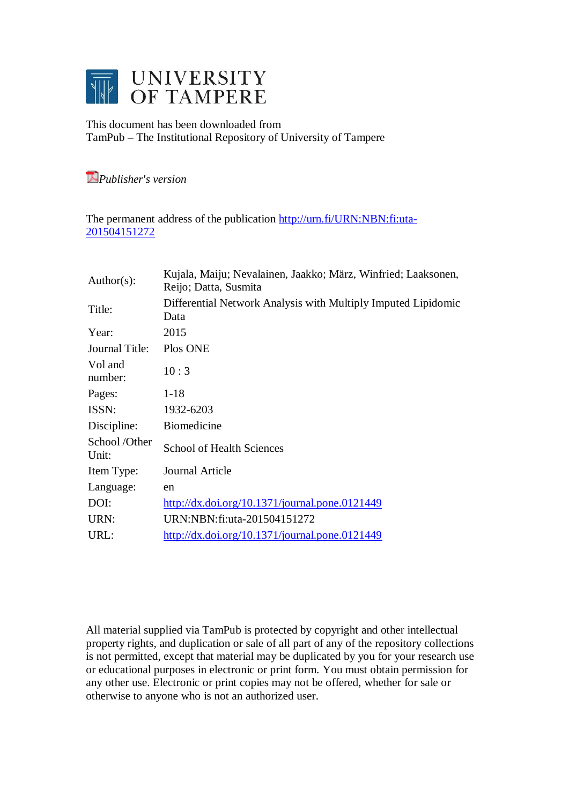

This document has been downloaded from TamPub – The Institutional Repository of University of Tampere

*Publisher's version* 

The permanent address of the publication [http://urn.fi/URN:NBN:fi:uta-](http://urn.fi/URN:NBN:fi:uta-201504151272)[201504151272](http://urn.fi/URN:NBN:fi:uta-201504151272)

| Author(s):            | Kujala, Maiju; Nevalainen, Jaakko; März, Winfried; Laaksonen,<br>Reijo; Datta, Susmita                  |
|-----------------------|---------------------------------------------------------------------------------------------------------|
| Title:                | Differential Network Analysis with Multiply Imputed Lipidomic<br>Data                                   |
| Year:                 | 2015                                                                                                    |
| Journal Title:        | Plos ONE                                                                                                |
| Vol and<br>number:    | 10:3                                                                                                    |
| Pages:                | $1 - 18$                                                                                                |
| ISSN:                 | 1932-6203                                                                                               |
| Discipline:           | <b>Biomedicine</b>                                                                                      |
| School/Other<br>Unit: | <b>School of Health Sciences</b>                                                                        |
| Item Type:            | Journal Article                                                                                         |
| Language:             | en                                                                                                      |
| DOI:                  | $\frac{http://dx.doi.org/10.1371/journal.pone.0121449}{http://dx.doi.org/10.1371/journal.pone.0121449}$ |
| URN:                  | URN:NBN:fi:uta-201504151272                                                                             |
| URL:                  | $\frac{http://dx.doi.org/10.1371/journal.pone.0121449}{$                                                |

All material supplied via TamPub is protected by copyright and other intellectual property rights, and duplication or sale of all part of any of the repository collections is not permitted, except that material may be duplicated by you for your research use or educational purposes in electronic or print form. You must obtain permission for any other use. Electronic or print copies may not be offered, whether for sale or otherwise to anyone who is not an authorized user.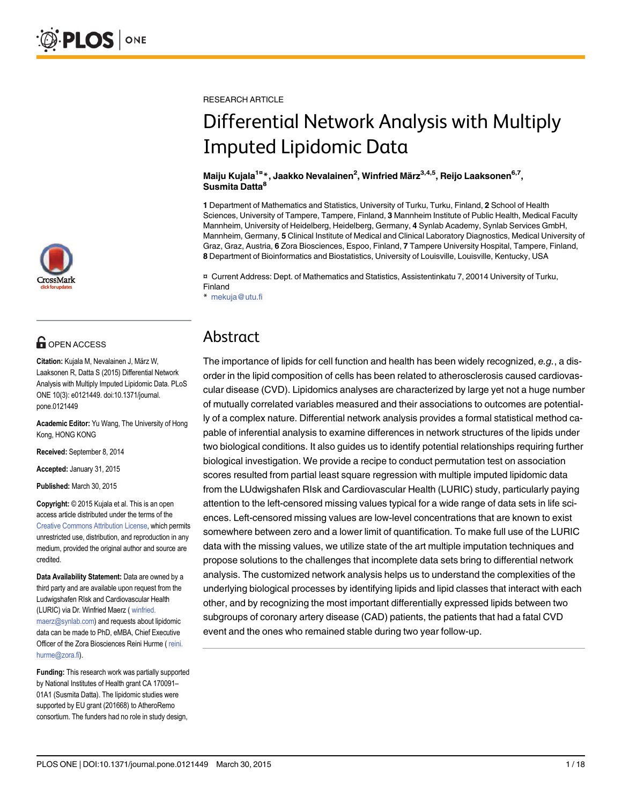

# **OPEN ACCESS**

Citation: Kujala M, Nevalainen J, März W, Laaksonen R, Datta S (2015) Differential Network Analysis with Multiply Imputed Lipidomic Data. PLoS ONE 10(3): e0121449. doi:10.1371/journal. pone.0121449

Academic Editor: Yu Wang, The University of Hong Kong, HONG KONG

Received: September 8, 2014

Accepted: January 31, 2015

Published: March 30, 2015

Copyright: © 2015 Kujala et al. This is an open access article distributed under the terms of the [Creative Commons Attribution License,](http://creativecommons.org/licenses/by/4.0/) which permits unrestricted use, distribution, and reproduction in any medium, provided the original author and source are credited.

Data Availability Statement: Data are owned by a third party and are available upon request from the Ludwigshafen RIsk and Cardiovascular Health (LURIC) via Dr. Winfried Maerz ( winfried. maerz@synlab.com) and requests about lipidomic data can be made to PhD, eMBA, Chief Executive Officer of the Zora Biosciences Reini Hurme ( reini. hurme@zora.fi).

Funding: This research work was partially supported by National Institutes of Health grant CA 170091– 01A1 (Susmita Datta). The lipidomic studies were supported by EU grant (201668) to AtheroRemo consortium. The funders had no role in study design,

RESEARCH ARTICLE

# Differential Network Analysis with Multiply Imputed Lipidomic Data

Maiju Kujala<sup>1¤</sup>\*, Jaakko Nevalainen<sup>2</sup>, Winfried März<sup>3,4,5</sup>, Reijo Laaksonen<sup>6,7</sup>, Susmita Datta<sup>8</sup>

1 Department of Mathematics and Statistics, University of Turku, Turku, Finland, 2 School of Health Sciences, University of Tampere, Tampere, Finland, 3 Mannheim Institute of Public Health, Medical Faculty Mannheim, University of Heidelberg, Heidelberg, Germany, 4 Synlab Academy, Synlab Services GmbH, Mannheim, Germany, 5 Clinical Institute of Medical and Clinical Laboratory Diagnostics, Medical University of Graz, Graz, Austria, 6 Zora Biosciences, Espoo, Finland, 7 Tampere University Hospital, Tampere, Finland, 8 Department of Bioinformatics and Biostatistics, University of Louisville, Louisville, Kentucky, USA

¤ Current Address: Dept. of Mathematics and Statistics, Assistentinkatu 7, 20014 University of Turku, Finland

\* mekuja@utu.fi

## Abstract

The importance of lipids for cell function and health has been widely recognized, e.g., a disorder in the lipid composition of cells has been related to atherosclerosis caused cardiovascular disease (CVD). Lipidomics analyses are characterized by large yet not a huge number of mutually correlated variables measured and their associations to outcomes are potentially of a complex nature. Differential network analysis provides a formal statistical method capable of inferential analysis to examine differences in network structures of the lipids under two biological conditions. It also guides us to identify potential relationships requiring further biological investigation. We provide a recipe to conduct permutation test on association scores resulted from partial least square regression with multiple imputed lipidomic data from the LUdwigshafen RIsk and Cardiovascular Health (LURIC) study, particularly paying attention to the left-censored missing values typical for a wide range of data sets in life sciences. Left-censored missing values are low-level concentrations that are known to exist somewhere between zero and a lower limit of quantification. To make full use of the LURIC data with the missing values, we utilize state of the art multiple imputation techniques and propose solutions to the challenges that incomplete data sets bring to differential network analysis. The customized network analysis helps us to understand the complexities of the underlying biological processes by identifying lipids and lipid classes that interact with each other, and by recognizing the most important differentially expressed lipids between two subgroups of coronary artery disease (CAD) patients, the patients that had a fatal CVD event and the ones who remained stable during two year follow-up.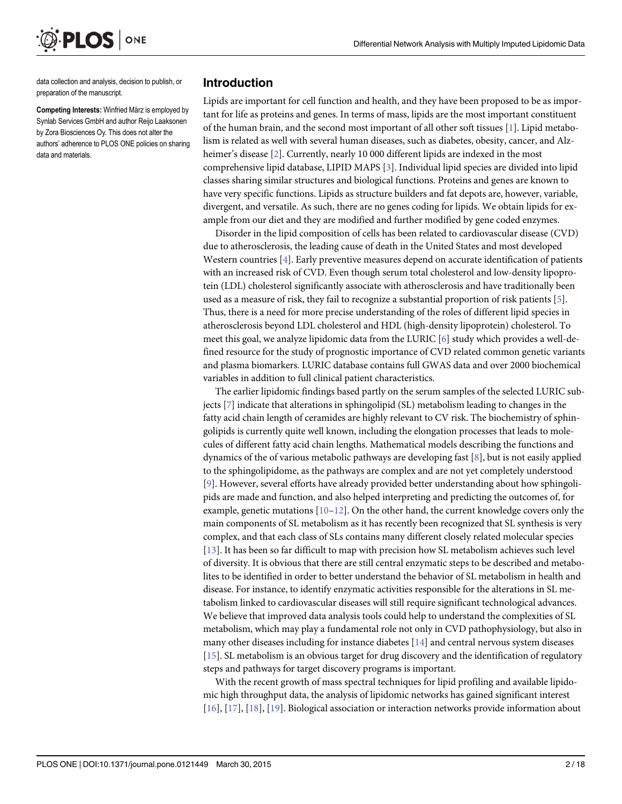data collection and analysis, decision to publish, or preparation of the manuscript.

ONE

<span id="page-2-0"></span>**PLOS** |

Competing Interests: Winfried März is employed by Synlab Services GmbH and author Reijo Laaksonen by Zora Biosciences Oy. This does not alter the authors' adherence to PLOS ONE policies on sharing data and materials.

## Introduction

Lipids are important for cell function and health, and they have been proposed to be as important for life as proteins and genes. In terms of mass, lipids are the most important constituent of the human brain, and the second most important of all other soft tissues [[1\]](#page-16-0). Lipid metabolism is related as well with several human diseases, such as diabetes, obesity, cancer, and Alz-heimer's disease [[2](#page-16-0)]. Currently, nearly 10 000 different lipids are indexed in the most comprehensive lipid database, LIPID MAPS [\[3](#page-16-0)]. Individual lipid species are divided into lipid classes sharing similar structures and biological functions. Proteins and genes are known to have very specific functions. Lipids as structure builders and fat depots are, however, variable, divergent, and versatile. As such, there are no genes coding for lipids. We obtain lipids for example from our diet and they are modified and further modified by gene coded enzymes.

Disorder in the lipid composition of cells has been related to cardiovascular disease (CVD) due to atherosclerosis, the leading cause of death in the United States and most developed Western countries [[4](#page-16-0)]. Early preventive measures depend on accurate identification of patients with an increased risk of CVD. Even though serum total cholesterol and low-density lipoprotein (LDL) cholesterol significantly associate with atherosclerosis and have traditionally been used as a measure of risk, they fail to recognize a substantial proportion of risk patients [\[5](#page-16-0)]. Thus, there is a need for more precise understanding of the roles of different lipid species in atherosclerosis beyond LDL cholesterol and HDL (high-density lipoprotein) cholesterol. To meet this goal, we analyze lipidomic data from the LURIC [[6](#page-16-0)] study which provides a well-defined resource for the study of prognostic importance of CVD related common genetic variants and plasma biomarkers. LURIC database contains full GWAS data and over 2000 biochemical variables in addition to full clinical patient characteristics.

The earlier lipidomic findings based partly on the serum samples of the selected LURIC subjects [\[7\]](#page-16-0) indicate that alterations in sphingolipid (SL) metabolism leading to changes in the fatty acid chain length of ceramides are highly relevant to CV risk. The biochemistry of sphingolipids is currently quite well known, including the elongation processes that leads to molecules of different fatty acid chain lengths. Mathematical models describing the functions and dynamics of the of various metabolic pathways are developing fast  $[8]$ , but is not easily applied to the sphingolipidome, as the pathways are complex and are not yet completely understood [\[9](#page-16-0)]. However, several efforts have already provided better understanding about how sphingolipids are made and function, and also helped interpreting and predicting the outcomes of, for example, genetic mutations  $[10-12]$  $[10-12]$  $[10-12]$  $[10-12]$ . On the other hand, the current knowledge covers only the main components of SL metabolism as it has recently been recognized that SL synthesis is very complex, and that each class of SLs contains many different closely related molecular species [\[13](#page-16-0)]. It has been so far difficult to map with precision how SL metabolism achieves such level of diversity. It is obvious that there are still central enzymatic steps to be described and metabolites to be identified in order to better understand the behavior of SL metabolism in health and disease. For instance, to identify enzymatic activities responsible for the alterations in SL metabolism linked to cardiovascular diseases will still require significant technological advances. We believe that improved data analysis tools could help to understand the complexities of SL metabolism, which may play a fundamental role not only in CVD pathophysiology, but also in many other diseases including for instance diabetes  $[14]$  and central nervous system diseases [\[15](#page-16-0)]. SL metabolism is an obvious target for drug discovery and the identification of regulatory steps and pathways for target discovery programs is important.

With the recent growth of mass spectral techniques for lipid profiling and available lipidomic high throughput data, the analysis of lipidomic networks has gained significant interest [\[16](#page-17-0)], [\[17\]](#page-17-0), [\[18\]](#page-17-0), [\[19\]](#page-17-0). Biological association or interaction networks provide information about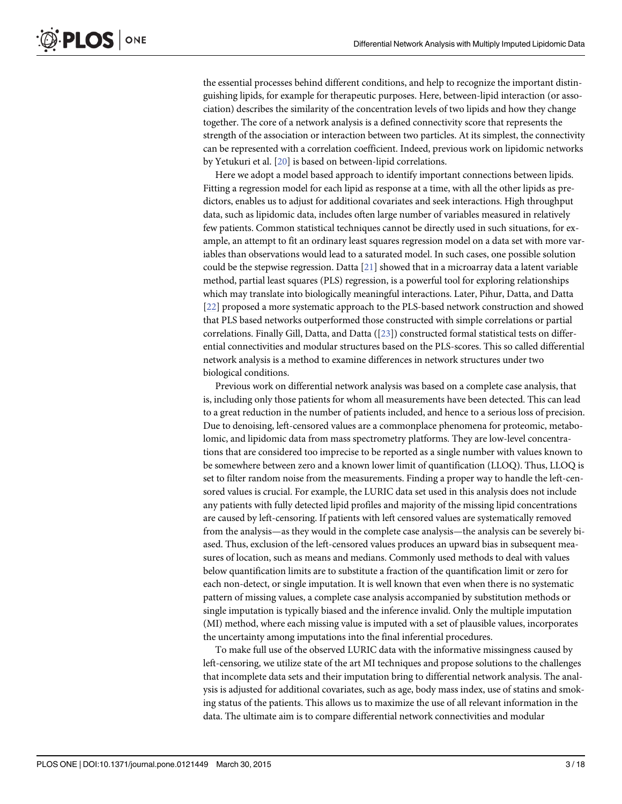<span id="page-3-0"></span>the essential processes behind different conditions, and help to recognize the important distinguishing lipids, for example for therapeutic purposes. Here, between-lipid interaction (or association) describes the similarity of the concentration levels of two lipids and how they change together. The core of a network analysis is a defined connectivity score that represents the strength of the association or interaction between two particles. At its simplest, the connectivity can be represented with a correlation coefficient. Indeed, previous work on lipidomic networks by Yetukuri et al. [\[20\]](#page-17-0) is based on between-lipid correlations.

Here we adopt a model based approach to identify important connections between lipids. Fitting a regression model for each lipid as response at a time, with all the other lipids as predictors, enables us to adjust for additional covariates and seek interactions. High throughput data, such as lipidomic data, includes often large number of variables measured in relatively few patients. Common statistical techniques cannot be directly used in such situations, for example, an attempt to fit an ordinary least squares regression model on a data set with more variables than observations would lead to a saturated model. In such cases, one possible solution could be the stepwise regression. Datta  $[21]$  $[21]$  $[21]$  showed that in a microarray data a latent variable method, partial least squares (PLS) regression, is a powerful tool for exploring relationships which may translate into biologically meaningful interactions. Later, Pihur, Datta, and Datta [\[22](#page-17-0)] proposed a more systematic approach to the PLS-based network construction and showed that PLS based networks outperformed those constructed with simple correlations or partial correlations. Finally Gill, Datta, and Datta ([\[23\]](#page-17-0)) constructed formal statistical tests on differential connectivities and modular structures based on the PLS-scores. This so called differential network analysis is a method to examine differences in network structures under two biological conditions.

Previous work on differential network analysis was based on a complete case analysis, that is, including only those patients for whom all measurements have been detected. This can lead to a great reduction in the number of patients included, and hence to a serious loss of precision. Due to denoising, left-censored values are a commonplace phenomena for proteomic, metabolomic, and lipidomic data from mass spectrometry platforms. They are low-level concentrations that are considered too imprecise to be reported as a single number with values known to be somewhere between zero and a known lower limit of quantification (LLOQ). Thus, LLOQ is set to filter random noise from the measurements. Finding a proper way to handle the left-censored values is crucial. For example, the LURIC data set used in this analysis does not include any patients with fully detected lipid profiles and majority of the missing lipid concentrations are caused by left-censoring. If patients with left censored values are systematically removed from the analysis—as they would in the complete case analysis—the analysis can be severely biased. Thus, exclusion of the left-censored values produces an upward bias in subsequent measures of location, such as means and medians. Commonly used methods to deal with values below quantification limits are to substitute a fraction of the quantification limit or zero for each non-detect, or single imputation. It is well known that even when there is no systematic pattern of missing values, a complete case analysis accompanied by substitution methods or single imputation is typically biased and the inference invalid. Only the multiple imputation (MI) method, where each missing value is imputed with a set of plausible values, incorporates the uncertainty among imputations into the final inferential procedures.

To make full use of the observed LURIC data with the informative missingness caused by left-censoring, we utilize state of the art MI techniques and propose solutions to the challenges that incomplete data sets and their imputation bring to differential network analysis. The analysis is adjusted for additional covariates, such as age, body mass index, use of statins and smoking status of the patients. This allows us to maximize the use of all relevant information in the data. The ultimate aim is to compare differential network connectivities and modular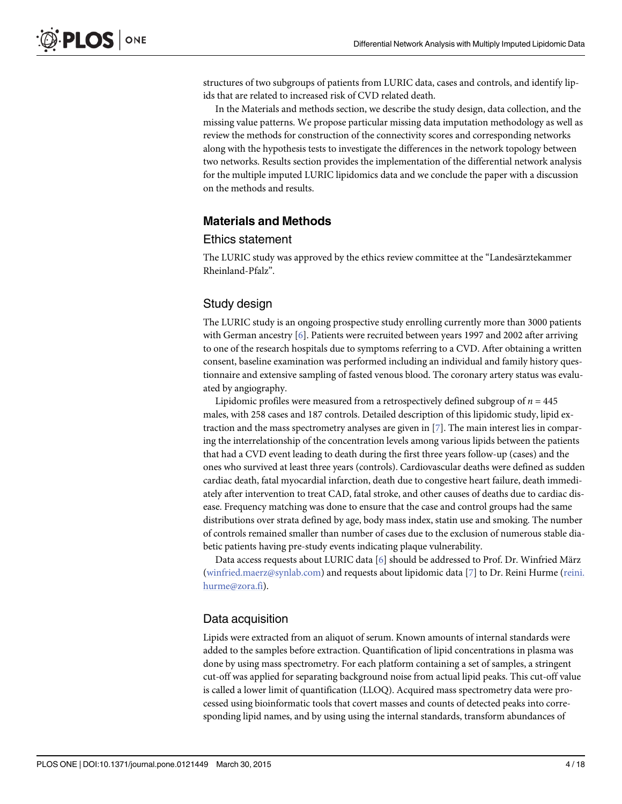structures of two subgroups of patients from LURIC data, cases and controls, and identify lipids that are related to increased risk of CVD related death.

In the Materials and methods section, we describe the study design, data collection, and the missing value patterns. We propose particular missing data imputation methodology as well as review the methods for construction of the connectivity scores and corresponding networks along with the hypothesis tests to investigate the differences in the network topology between two networks. Results section provides the implementation of the differential network analysis for the multiple imputed LURIC lipidomics data and we conclude the paper with a discussion on the methods and results.

## Materials and Methods

## Ethics statement

The LURIC study was approved by the ethics review committee at the "Landesärztekammer Rheinland-Pfalz".

## Study design

The LURIC study is an ongoing prospective study enrolling currently more than 3000 patients with German ancestry [[6](#page-16-0)]. Patients were recruited between years 1997 and 2002 after arriving to one of the research hospitals due to symptoms referring to a CVD. After obtaining a written consent, baseline examination was performed including an individual and family history questionnaire and extensive sampling of fasted venous blood. The coronary artery status was evaluated by angiography.

Lipidomic profiles were measured from a retrospectively defined subgroup of  $n = 445$ males, with 258 cases and 187 controls. Detailed description of this lipidomic study, lipid extraction and the mass spectrometry analyses are given in  $\mathbb{Z}$ . The main interest lies in comparing the interrelationship of the concentration levels among various lipids between the patients that had a CVD event leading to death during the first three years follow-up (cases) and the ones who survived at least three years (controls). Cardiovascular deaths were defined as sudden cardiac death, fatal myocardial infarction, death due to congestive heart failure, death immediately after intervention to treat CAD, fatal stroke, and other causes of deaths due to cardiac disease. Frequency matching was done to ensure that the case and control groups had the same distributions over strata defined by age, body mass index, statin use and smoking. The number of controls remained smaller than number of cases due to the exclusion of numerous stable diabetic patients having pre-study events indicating plaque vulnerability.

Data access requests about LURIC data [[6\]](#page-16-0) should be addressed to Prof. Dr. Winfried März (winfried.maerz@synlab.com) and requests about lipidomic data [\[7](#page-16-0)] to Dr. Reini Hurme (reini. hurme@zora.fi).

## Data acquisition

Lipids were extracted from an aliquot of serum. Known amounts of internal standards were added to the samples before extraction. Quantification of lipid concentrations in plasma was done by using mass spectrometry. For each platform containing a set of samples, a stringent cut-off was applied for separating background noise from actual lipid peaks. This cut-off value is called a lower limit of quantification (LLOQ). Acquired mass spectrometry data were processed using bioinformatic tools that covert masses and counts of detected peaks into corresponding lipid names, and by using using the internal standards, transform abundances of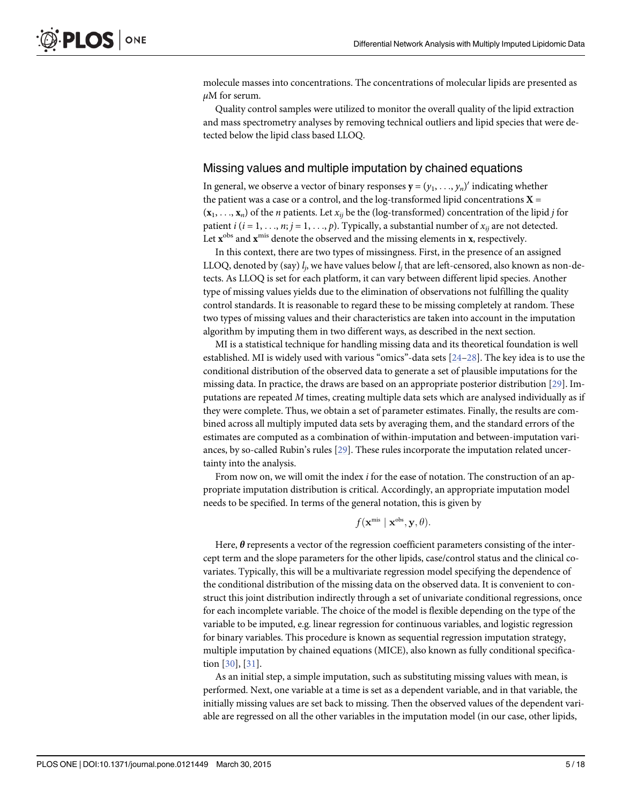<span id="page-5-0"></span>molecule masses into concentrations. The concentrations of molecular lipids are presented as  $\mu$ M for serum.

Quality control samples were utilized to monitor the overall quality of the lipid extraction and mass spectrometry analyses by removing technical outliers and lipid species that were detected below the lipid class based LLOQ.

## Missing values and multiple imputation by chained equations

In general, we observe a vector of binary responses  $\mathbf{y} = (y_1, \ldots, y_n)'$  indicating whether the patient was a case or a control, and the log-transformed lipid concentrations  $X =$  $(\mathbf{x}_1, \ldots, \mathbf{x}_n)$  of the *n* patients. Let  $x_{ij}$  be the (log-transformed) concentration of the lipid *j* for patient  $i$  ( $i = 1, ..., n; j = 1, ..., p$ ). Typically, a substantial number of  $x_{ij}$  are not detected. Let  $x$ <sup>obs</sup> and  $x$ <sup>mis</sup> denote the observed and the missing elements in  $x$ , respectively.

In this context, there are two types of missingness. First, in the presence of an assigned LLOQ, denoted by (say)  $l_i$ , we have values below  $l_i$  that are left-censored, also known as non-detects. As LLOQ is set for each platform, it can vary between different lipid species. Another type of missing values yields due to the elimination of observations not fulfilling the quality control standards. It is reasonable to regard these to be missing completely at random. These two types of missing values and their characteristics are taken into account in the imputation algorithm by imputing them in two different ways, as described in the next section.

MI is a statistical technique for handling missing data and its theoretical foundation is well established. MI is widely used with various "omics"-data sets [\[24](#page-17-0)–[28](#page-17-0)]. The key idea is to use the conditional distribution of the observed data to generate a set of plausible imputations for the missing data. In practice, the draws are based on an appropriate posterior distribution [[29](#page-17-0)]. Imputations are repeated M times, creating multiple data sets which are analysed individually as if they were complete. Thus, we obtain a set of parameter estimates. Finally, the results are combined across all multiply imputed data sets by averaging them, and the standard errors of the estimates are computed as a combination of within-imputation and between-imputation variances, by so-called Rubin's rules [[29](#page-17-0)]. These rules incorporate the imputation related uncertainty into the analysis.

From now on, we will omit the index *i* for the ease of notation. The construction of an appropriate imputation distribution is critical. Accordingly, an appropriate imputation model needs to be specified. In terms of the general notation, this is given by

$$
f(\mathbf{x}^{\text{mis}} \mid \mathbf{x}^{\text{obs}}, \mathbf{y}, \theta).
$$

Here,  $\theta$  represents a vector of the regression coefficient parameters consisting of the intercept term and the slope parameters for the other lipids, case/control status and the clinical covariates. Typically, this will be a multivariate regression model specifying the dependence of the conditional distribution of the missing data on the observed data. It is convenient to construct this joint distribution indirectly through a set of univariate conditional regressions, once for each incomplete variable. The choice of the model is flexible depending on the type of the variable to be imputed, e.g. linear regression for continuous variables, and logistic regression for binary variables. This procedure is known as sequential regression imputation strategy, multiple imputation by chained equations (MICE), also known as fully conditional specification [[30](#page-17-0)], [[31](#page-17-0)].

As an initial step, a simple imputation, such as substituting missing values with mean, is performed. Next, one variable at a time is set as a dependent variable, and in that variable, the initially missing values are set back to missing. Then the observed values of the dependent variable are regressed on all the other variables in the imputation model (in our case, other lipids,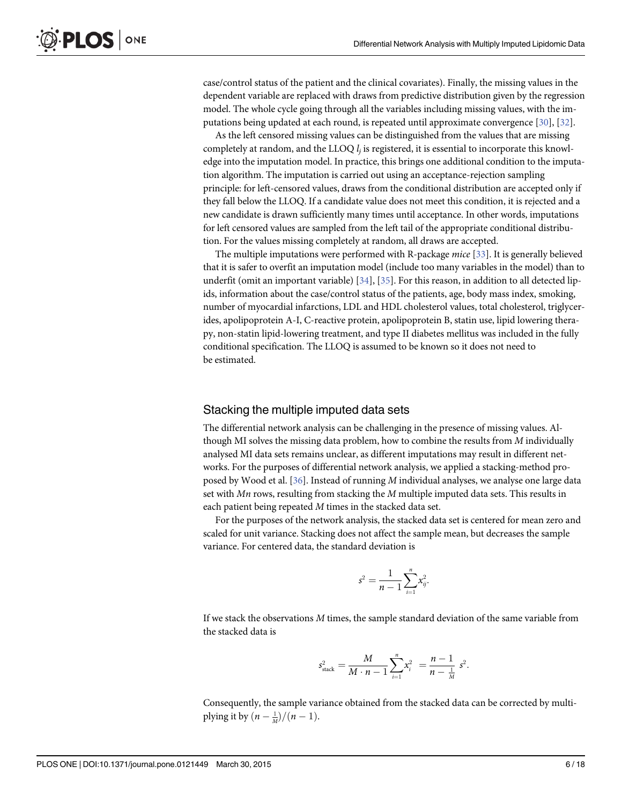<span id="page-6-0"></span>case/control status of the patient and the clinical covariates). Finally, the missing values in the dependent variable are replaced with draws from predictive distribution given by the regression model. The whole cycle going through all the variables including missing values, with the imputations being updated at each round, is repeated until approximate convergence [[30](#page-17-0)], [\[32\]](#page-17-0).

As the left censored missing values can be distinguished from the values that are missing completely at random, and the LLOQ  $l_i$  is registered, it is essential to incorporate this knowledge into the imputation model. In practice, this brings one additional condition to the imputation algorithm. The imputation is carried out using an acceptance-rejection sampling principle: for left-censored values, draws from the conditional distribution are accepted only if they fall below the LLOQ. If a candidate value does not meet this condition, it is rejected and a new candidate is drawn sufficiently many times until acceptance. In other words, imputations for left censored values are sampled from the left tail of the appropriate conditional distribution. For the values missing completely at random, all draws are accepted.

The multiple imputations were performed with R-package mice [[33](#page-17-0)]. It is generally believed that it is safer to overfit an imputation model (include too many variables in the model) than to underfit (omit an important variable) [[34](#page-17-0)], [[35](#page-17-0)]. For this reason, in addition to all detected lipids, information about the case/control status of the patients, age, body mass index, smoking, number of myocardial infarctions, LDL and HDL cholesterol values, total cholesterol, triglycerides, apolipoprotein A-I, C-reactive protein, apolipoprotein B, statin use, lipid lowering therapy, non-statin lipid-lowering treatment, and type II diabetes mellitus was included in the fully conditional specification. The LLOQ is assumed to be known so it does not need to be estimated.

## Stacking the multiple imputed data sets

The differential network analysis can be challenging in the presence of missing values. Although MI solves the missing data problem, how to combine the results from M individually analysed MI data sets remains unclear, as different imputations may result in different networks. For the purposes of differential network analysis, we applied a stacking-method proposed by Wood et al. [\[36](#page-17-0)]. Instead of running M individual analyses, we analyse one large data set with  $Mn$  rows, resulting from stacking the  $M$  multiple imputed data sets. This results in each patient being repeated M times in the stacked data set.

For the purposes of the network analysis, the stacked data set is centered for mean zero and scaled for unit variance. Stacking does not affect the sample mean, but decreases the sample variance. For centered data, the standard deviation is

$$
s^2 = \frac{1}{n-1} \sum_{i=1}^n x_{ij}^2.
$$

If we stack the observations M times, the sample standard deviation of the same variable from the stacked data is

$$
s_{\text{stack}}^2 = \frac{M}{M \cdot n - 1} \sum_{i=1}^n x_i^2 = \frac{n-1}{n - \frac{1}{M}} s^2.
$$

Consequently, the sample variance obtained from the stacked data can be corrected by multiplying it by  $(n - \frac{1}{M})/(n - 1)$ .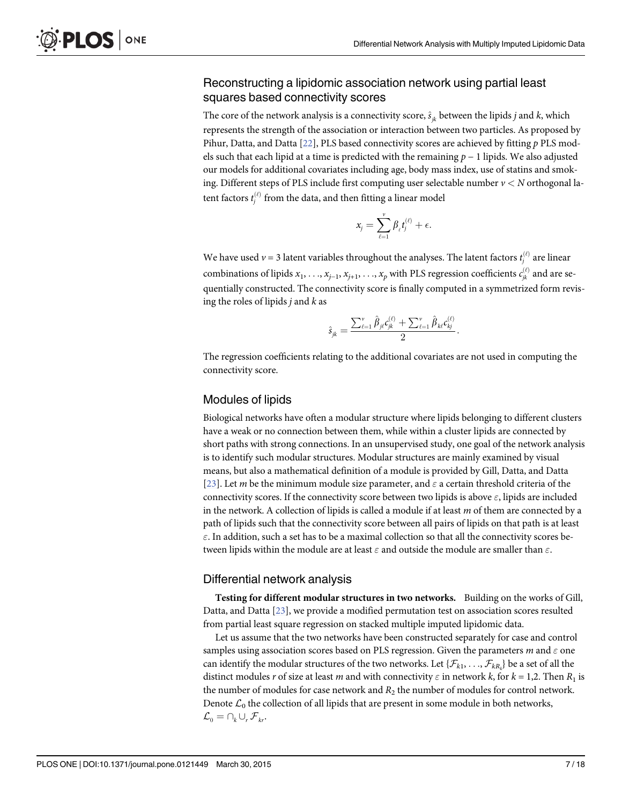## Reconstructing a lipidomic association network using partial least squares based connectivity scores

The core of the network analysis is a connectivity score,  $\hat{s}_{ik}$  between the lipids j and k, which represents the strength of the association or interaction between two particles. As proposed by Pihur, Datta, and Datta  $[22]$ , PLS based connectivity scores are achieved by fitting  $p$  PLS models such that each lipid at a time is predicted with the remaining  $p - 1$  lipids. We also adjusted our models for additional covariates including age, body mass index, use of statins and smoking. Different steps of PLS include first computing user selectable number  $v < N$  orthogonal latent factors  $t_{j}^{(\ell)}$  from the data, and then fitting a linear model

$$
x_j = \sum_{\ell=1}^{\nu} \beta_{\ell} t_j^{(\ell)} + \epsilon.
$$

We have used  $v = 3$  latent variables throughout the analyses. The latent factors  $t_i^{(\ell)}$  are linear combinations of lipids  $x_1, \ldots, x_{j-1}, x_{j+1}, \ldots, x_p$  with PLS regression coefficients  $c_{jk}^{(\ell)}$  and are sequentially constructed. The connectivity score is finally computed in a symmetrized form revising the roles of lipids  $j$  and  $k$  as

$$
\hat{s}_{jk} = \frac{\sum_{\ell=1}^\nu \hat{\beta}_{j\ell} c_{jk}^{(\ell)} + \sum_{\ell=1}^\nu \hat{\beta}_{k\ell} c_{kj}^{(\ell)}}{2}.
$$

The regression coefficients relating to the additional covariates are not used in computing the connectivity score.

## Modules of lipids

Biological networks have often a modular structure where lipids belonging to different clusters have a weak or no connection between them, while within a cluster lipids are connected by short paths with strong connections. In an unsupervised study, one goal of the network analysis is to identify such modular structures. Modular structures are mainly examined by visual means, but also a mathematical definition of a module is provided by Gill, Datta, and Datta [\[23](#page-17-0)]. Let *m* be the minimum module size parameter, and  $\varepsilon$  a certain threshold criteria of the connectivity scores. If the connectivity score between two lipids is above  $\varepsilon$ , lipids are included in the network. A collection of lipids is called a module if at least  $m$  of them are connected by a path of lipids such that the connectivity score between all pairs of lipids on that path is at least  $\varepsilon$ . In addition, such a set has to be a maximal collection so that all the connectivity scores between lipids within the module are at least  $\varepsilon$  and outside the module are smaller than  $\varepsilon$ .

## Differential network analysis

Testing for different modular structures in two networks. Building on the works of Gill, Datta, and Datta [\[23](#page-17-0)], we provide a modified permutation test on association scores resulted from partial least square regression on stacked multiple imputed lipidomic data.

Let us assume that the two networks have been constructed separately for case and control samples using association scores based on PLS regression. Given the parameters m and  $\varepsilon$  one can identify the modular structures of the two networks. Let  $\{\mathcal{F}_{k1},\ldots,\mathcal{F}_{kR_k}\}$  be a set of all the distinct modules r of size at least m and with connectivity  $\varepsilon$  in network k, for  $k = 1,2$ . Then  $R_1$  is the number of modules for case network and  $R_2$  the number of modules for control network. Denote  $\mathcal{L}_0$  the collection of all lipids that are present in some module in both networks,  $\mathcal{L}_0 = \cap_k \cup_r \mathcal{F}_{kr}.$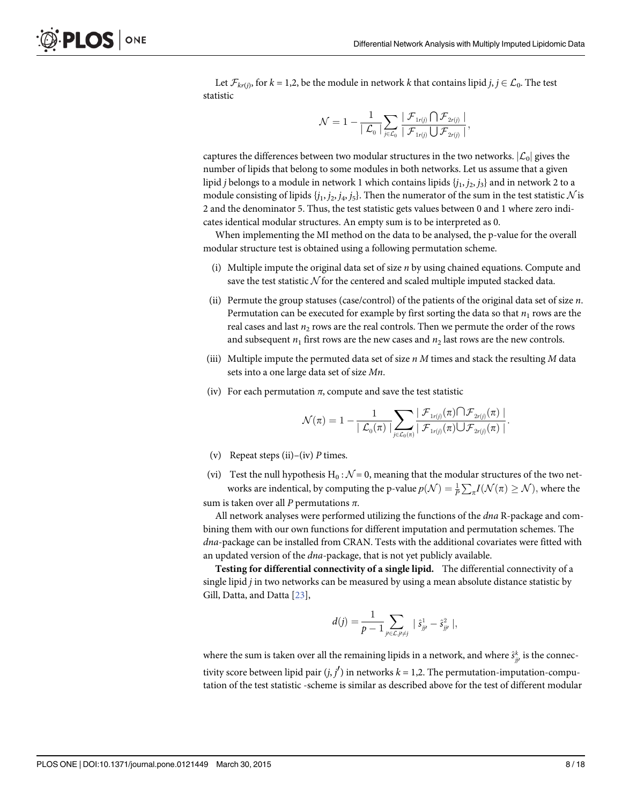Let  $\mathcal{F}_{kr(j)}$ , for  $k = 1, 2$ , be the module in network k that contains lipid  $j, j \in \mathcal{L}_0$ . The test statistic

$$
\mathcal{N}=1-\frac{1}{\mid \mathcal{L}_0 \mid}\sum_{j \in \mathcal{L}_0}\frac{\mid \mathcal{F}_{1r(j)}\bigcap \mathcal{F}_{2r(j)}\mid}{\mid \mathcal{F}_{1r(j)}\bigcup \mathcal{F}_{2r(j)}\mid},
$$

captures the differences between two modular structures in the two networks.  $|\mathcal{L}_0|$  gives the number of lipids that belong to some modules in both networks. Let us assume that a given lipid *j* belongs to a module in network 1 which contains lipids  $\{j_1, j_2, j_3\}$  and in network 2 to a module consisting of lipids  $\{j_1, j_2, j_4, j_5\}$ . Then the numerator of the sum in the test statistic  $\mathcal N$  is 2 and the denominator 5. Thus, the test statistic gets values between 0 and 1 where zero indicates identical modular structures. An empty sum is to be interpreted as 0.

When implementing the MI method on the data to be analysed, the p-value for the overall modular structure test is obtained using a following permutation scheme.

- (i) Multiple impute the original data set of size  $n$  by using chained equations. Compute and save the test statistic  $\mathcal N$  for the centered and scaled multiple imputed stacked data.
- (ii) Permute the group statuses (case/control) of the patients of the original data set of size  $n$ . Permutation can be executed for example by first sorting the data so that  $n_1$  rows are the real cases and last  $n<sub>2</sub>$  rows are the real controls. Then we permute the order of the rows and subsequent  $n_1$  first rows are the new cases and  $n_2$  last rows are the new controls.
- (iii) Multiple impute the permuted data set of size  $n$  M times and stack the resulting M data sets into a one large data set of size Mn.
- (iv) For each permutation  $\pi$ , compute and save the test statistic

$$
\mathcal{N}(\pi) = 1 - \frac{1}{\mid \mathcal{L}_0(\pi) \mid} \sum_{j \in \mathcal{L}_0(\pi)} \frac{\mid \mathcal{F}_{1r(j)}(\pi) \cap \mathcal{F}_{2r(j)}(\pi) \mid}{\mid \mathcal{F}_{1r(j)}(\pi) \cup \mathcal{F}_{2r(j)}(\pi) \mid}.
$$

- (v) Repeat steps (ii)–(iv)  $P$  times.
- (vi) Test the null hypothesis H<sub>0</sub> :  $\mathcal{N} = 0$ , meaning that the modular structures of the two networks are indentical, by computing the p-value  $p(\mathcal{N}) = \frac{1}{P} \sum_{\pi} I(\mathcal{N}(\pi) \geq \mathcal{N})$ , where the sum is taken over all P permutations  $\pi$ .

All network analyses were performed utilizing the functions of the *dna* R-package and combining them with our own functions for different imputation and permutation schemes. The dna-package can be installed from CRAN. Tests with the additional covariates were fitted with an updated version of the *dna*-package, that is not yet publicly available.

Testing for differential connectivity of a single lipid. The differential connectivity of a single lipid j in two networks can be measured by using a mean absolute distance statistic by Gill, Datta, and Datta [[23](#page-17-0)],

$$
d(j) = \frac{1}{p-1} \sum_{j \in \mathcal{L}, j \neq j} | \hat{s}_{jj'}^1 - \hat{s}_{jj'}^2 |,
$$

where the sum is taken over all the remaining lipids in a network, and where  $\hat{s}^k_{jj'}$  is the connectivity score between lipid pair  $(j, j')$  in networks  $k = 1, 2$ . The permutation-imputation-computation of the test statistic -scheme is similar as described above for the test of different modular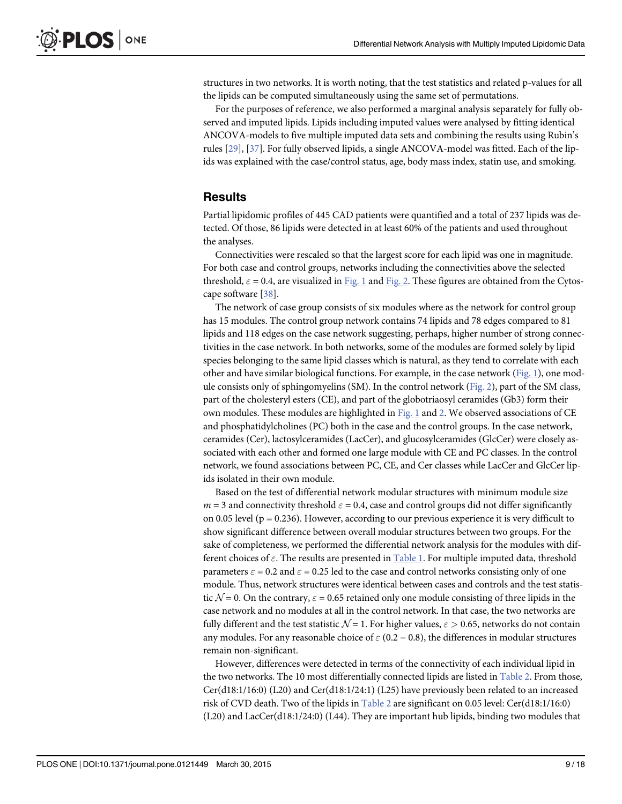<span id="page-9-0"></span>structures in two networks. It is worth noting, that the test statistics and related p-values for all the lipids can be computed simultaneously using the same set of permutations.

For the purposes of reference, we also performed a marginal analysis separately for fully observed and imputed lipids. Lipids including imputed values were analysed by fitting identical ANCOVA-models to five multiple imputed data sets and combining the results using Rubin's rules [[29](#page-17-0)], [[37](#page-17-0)]. For fully observed lipids, a single ANCOVA-model was fitted. Each of the lipids was explained with the case/control status, age, body mass index, statin use, and smoking.

## **Results**

Partial lipidomic profiles of 445 CAD patients were quantified and a total of 237 lipids was detected. Of those, 86 lipids were detected in at least 60% of the patients and used throughout the analyses.

Connectivities were rescaled so that the largest score for each lipid was one in magnitude. For both case and control groups, networks including the connectivities above the selected threshold,  $\varepsilon = 0.4$ , are visualized in [Fig. 1](#page-10-0) and [Fig. 2.](#page-11-0) These figures are obtained from the Cytos-cape software [\[38\]](#page-18-0).

The network of case group consists of six modules where as the network for control group has 15 modules. The control group network contains 74 lipids and 78 edges compared to 81 lipids and 118 edges on the case network suggesting, perhaps, higher number of strong connectivities in the case network. In both networks, some of the modules are formed solely by lipid species belonging to the same lipid classes which is natural, as they tend to correlate with each other and have similar biological functions. For example, in the case network [\(Fig. 1\)](#page-10-0), one module consists only of sphingomyelins (SM). In the control network ( $Fig. 2$ ), part of the SM class, part of the cholesteryl esters (CE), and part of the globotriaosyl ceramides (Gb3) form their own modules. These modules are highlighted in  $Fig. 1$  and  $2$ . We observed associations of CE and phosphatidylcholines (PC) both in the case and the control groups. In the case network, ceramides (Cer), lactosylceramides (LacCer), and glucosylceramides (GlcCer) were closely associated with each other and formed one large module with CE and PC classes. In the control network, we found associations between PC, CE, and Cer classes while LacCer and GlcCer lipids isolated in their own module.

Based on the test of differential network modular structures with minimum module size  $m = 3$  and connectivity threshold  $\varepsilon = 0.4$ , case and control groups did not differ significantly on 0.05 level ( $p = 0.236$ ). However, according to our previous experience it is very difficult to show significant difference between overall modular structures between two groups. For the sake of completeness, we performed the differential network analysis for the modules with different choices of  $\varepsilon$ . The results are presented in [Table 1.](#page-12-0) For multiple imputed data, threshold parameters  $\varepsilon = 0.2$  and  $\varepsilon = 0.25$  led to the case and control networks consisting only of one module. Thus, network structures were identical between cases and controls and the test statistic  $\mathcal{N} = 0$ . On the contrary,  $\varepsilon = 0.65$  retained only one module consisting of three lipids in the case network and no modules at all in the control network. In that case, the two networks are fully different and the test statistic  $\mathcal{N} = 1$ . For higher values,  $\varepsilon > 0.65$ , networks do not contain any modules. For any reasonable choice of  $\varepsilon$  (0.2 – 0.8), the differences in modular structures remain non-significant.

However, differences were detected in terms of the connectivity of each individual lipid in the two networks. The 10 most differentially connected lipids are listed in [Table 2](#page-12-0). From those, Cer(d18:1/16:0) (L20) and Cer(d18:1/24:1) (L25) have previously been related to an increased risk of CVD death. Two of the lipids in [Table 2](#page-12-0) are significant on 0.05 level: Cer(d18:1/16:0) (L20) and LacCer(d18:1/24:0) (L44). They are important hub lipids, binding two modules that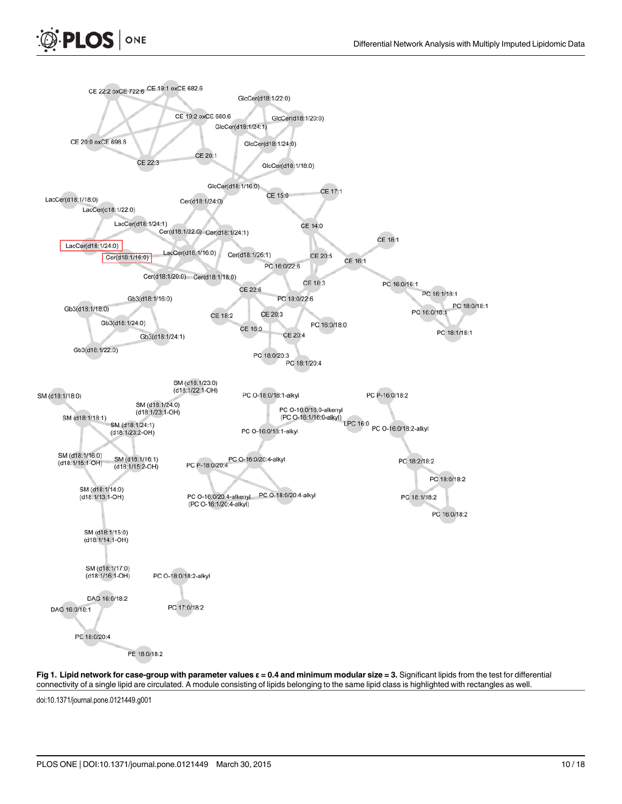<span id="page-10-0"></span>



#### [Fig 1. L](#page-9-0)ipid network for case-group with parameter values  $\varepsilon = 0.4$  and minimum modular size = 3. Significant lipids from the test for differential connectivity of a single lipid are circulated. A module consisting of lipids belonging to the same lipid class is highlighted with rectangles as well.

doi:10.1371/journal.pone.0121449.g001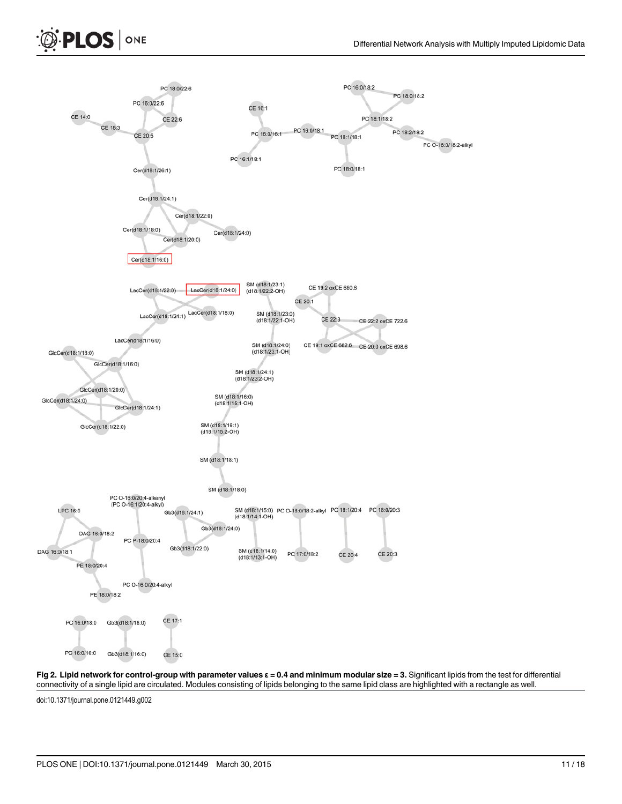<span id="page-11-0"></span>

[Fig 2. L](#page-9-0)ipid network for control-group with parameter values ε = 0.4 and minimum modular size = 3. Significant lipids from the test for differential connectivity of a single lipid are circulated. Modules consisting of lipids belonging to the same lipid class are highlighted with a rectangle as well.

doi:10.1371/journal.pone.0121449.g002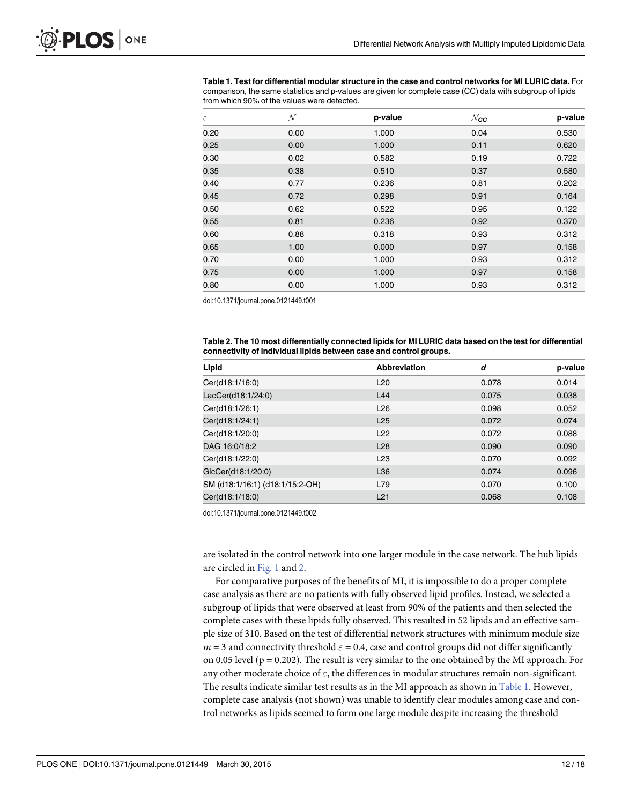<span id="page-12-0"></span>[Table 1. T](#page-9-0)est for differential modular structure in the case and control networks for MI LURIC data. For comparison, the same statistics and p-values are given for complete case (CC) data with subgroup of lipids from which 90% of the values were detected.

| $\varepsilon$ | ${\cal N}$ | p-value | $N_{\rm CC}$ | p-value |
|---------------|------------|---------|--------------|---------|
| 0.20          | 0.00       | 1.000   | 0.04         | 0.530   |
| 0.25          | 0.00       | 1.000   | 0.11         | 0.620   |
| 0.30          | 0.02       | 0.582   | 0.19         | 0.722   |
| 0.35          | 0.38       | 0.510   | 0.37         | 0.580   |
| 0.40          | 0.77       | 0.236   | 0.81         | 0.202   |
| 0.45          | 0.72       | 0.298   | 0.91         | 0.164   |
| 0.50          | 0.62       | 0.522   | 0.95         | 0.122   |
| 0.55          | 0.81       | 0.236   | 0.92         | 0.370   |
| 0.60          | 0.88       | 0.318   | 0.93         | 0.312   |
| 0.65          | 1.00       | 0.000   | 0.97         | 0.158   |
| 0.70          | 0.00       | 1.000   | 0.93         | 0.312   |
| 0.75          | 0.00       | 1.000   | 0.97         | 0.158   |
| 0.80          | 0.00       | 1.000   | 0.93         | 0.312   |

doi:10.1371/journal.pone.0121449.t001

[Table 2. T](#page-9-0)he 10 most differentially connected lipids for MI LURIC data based on the test for differential connectivity of individual lipids between case and control groups.

| Lipid                           | Abbreviation    | d     | p-value |
|---------------------------------|-----------------|-------|---------|
| Cer(d18:1/16:0)                 | L <sub>20</sub> | 0.078 | 0.014   |
| LacCer(d18:1/24:0)              | L44             | 0.075 | 0.038   |
| Cer(d18:1/26:1)                 | L26             | 0.098 | 0.052   |
| Cer(d18:1/24:1)                 | L25             | 0.072 | 0.074   |
| Cer(d18:1/20:0)                 | L22             | 0.072 | 0.088   |
| DAG 16:0/18:2                   | L28             | 0.090 | 0.090   |
| Cer(d18:1/22:0)                 | L23             | 0.070 | 0.092   |
| GlcCer(d18:1/20:0)              | L36             | 0.074 | 0.096   |
| SM (d18:1/16:1) (d18:1/15:2-OH) | L79             | 0.070 | 0.100   |
| Cer(d18:1/18:0)                 | L21             | 0.068 | 0.108   |

doi:10.1371/journal.pone.0121449.t002

are isolated in the control network into one larger module in the case network. The hub lipids are circled in [Fig. 1](#page-10-0) and [2](#page-11-0).

For comparative purposes of the benefits of MI, it is impossible to do a proper complete case analysis as there are no patients with fully observed lipid profiles. Instead, we selected a subgroup of lipids that were observed at least from 90% of the patients and then selected the complete cases with these lipids fully observed. This resulted in 52 lipids and an effective sample size of 310. Based on the test of differential network structures with minimum module size  $m = 3$  and connectivity threshold  $\varepsilon = 0.4$ , case and control groups did not differ significantly on 0.05 level ( $p = 0.202$ ). The result is very similar to the one obtained by the MI approach. For any other moderate choice of  $\varepsilon$ , the differences in modular structures remain non-significant. The results indicate similar test results as in the MI approach as shown in Table 1. However, complete case analysis (not shown) was unable to identify clear modules among case and control networks as lipids seemed to form one large module despite increasing the threshold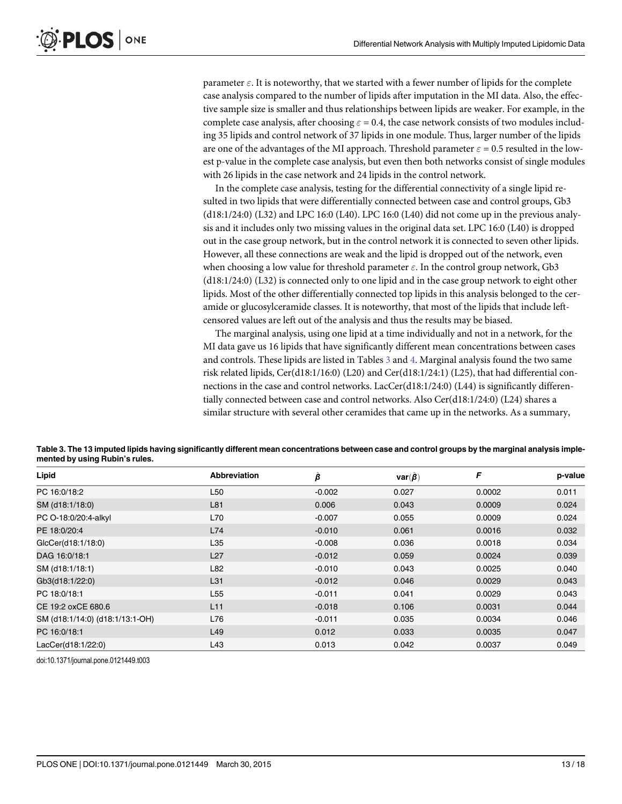<span id="page-13-0"></span>parameter  $\varepsilon$ . It is noteworthy, that we started with a fewer number of lipids for the complete case analysis compared to the number of lipids after imputation in the MI data. Also, the effective sample size is smaller and thus relationships between lipids are weaker. For example, in the complete case analysis, after choosing  $\varepsilon = 0.4$ , the case network consists of two modules including 35 lipids and control network of 37 lipids in one module. Thus, larger number of the lipids are one of the advantages of the MI approach. Threshold parameter  $\varepsilon = 0.5$  resulted in the lowest p-value in the complete case analysis, but even then both networks consist of single modules with 26 lipids in the case network and 24 lipids in the control network.

In the complete case analysis, testing for the differential connectivity of a single lipid resulted in two lipids that were differentially connected between case and control groups, Gb3  $(d18:1/24:0)$  (L32) and LPC 16:0 (L40). LPC 16:0 (L40) did not come up in the previous analysis and it includes only two missing values in the original data set. LPC 16:0 (L40) is dropped out in the case group network, but in the control network it is connected to seven other lipids. However, all these connections are weak and the lipid is dropped out of the network, even when choosing a low value for threshold parameter  $\varepsilon$ . In the control group network, Gb3 (d18:1/24:0) (L32) is connected only to one lipid and in the case group network to eight other lipids. Most of the other differentially connected top lipids in this analysis belonged to the ceramide or glucosylceramide classes. It is noteworthy, that most of the lipids that include leftcensored values are left out of the analysis and thus the results may be biased.

The marginal analysis, using one lipid at a time individually and not in a network, for the MI data gave us 16 lipids that have significantly different mean concentrations between cases and controls. These lipids are listed in Tables 3 and [4.](#page-14-0) Marginal analysis found the two same risk related lipids, Cer(d18:1/16:0) (L20) and Cer(d18:1/24:1) (L25), that had differential connections in the case and control networks. LacCer(d18:1/24:0) (L44) is significantly differentially connected between case and control networks. Also Cer(d18:1/24:0) (L24) shares a similar structure with several other ceramides that came up in the networks. As a summary,

| Lipid                           | <b>Abbreviation</b> | $\hat{\pmb{\beta}}$ | var $(\boldsymbol{\beta})$ | F      | p-value |
|---------------------------------|---------------------|---------------------|----------------------------|--------|---------|
| PC 16:0/18:2                    | L <sub>50</sub>     | $-0.002$            | 0.027                      | 0.0002 | 0.011   |
| SM (d18:1/18:0)                 | L81                 | 0.006               | 0.043                      | 0.0009 | 0.024   |
| PC O-18:0/20:4-alkyl            | L70                 | $-0.007$            | 0.055                      | 0.0009 | 0.024   |
| PE 18:0/20:4                    | L74                 | $-0.010$            | 0.061                      | 0.0016 | 0.032   |
| GlcCer(d18:1/18:0)              | L35                 | $-0.008$            | 0.036                      | 0.0018 | 0.034   |
| DAG 16:0/18:1                   | L27                 | $-0.012$            | 0.059                      | 0.0024 | 0.039   |
| SM (d18:1/18:1)                 | L82                 | $-0.010$            | 0.043                      | 0.0025 | 0.040   |
| Gb3(d18:1/22:0)                 | L31                 | $-0.012$            | 0.046                      | 0.0029 | 0.043   |
| PC 18:0/18:1                    | L <sub>55</sub>     | $-0.011$            | 0.041                      | 0.0029 | 0.043   |
| CE 19:2 oxCE 680.6              | L11                 | $-0.018$            | 0.106                      | 0.0031 | 0.044   |
| SM (d18:1/14:0) (d18:1/13:1-OH) | L76                 | $-0.011$            | 0.035                      | 0.0034 | 0.046   |
| PC 16:0/18:1                    | L49                 | 0.012               | 0.033                      | 0.0035 | 0.047   |
| LacCer(d18:1/22:0)              | L43                 | 0.013               | 0.042                      | 0.0037 | 0.049   |

Table 3. The 13 imputed lipids having significantly different mean concentrations between case and control groups by the marginal analysis implemented by using Rubin's rules.

doi:10.1371/journal.pone.0121449.t003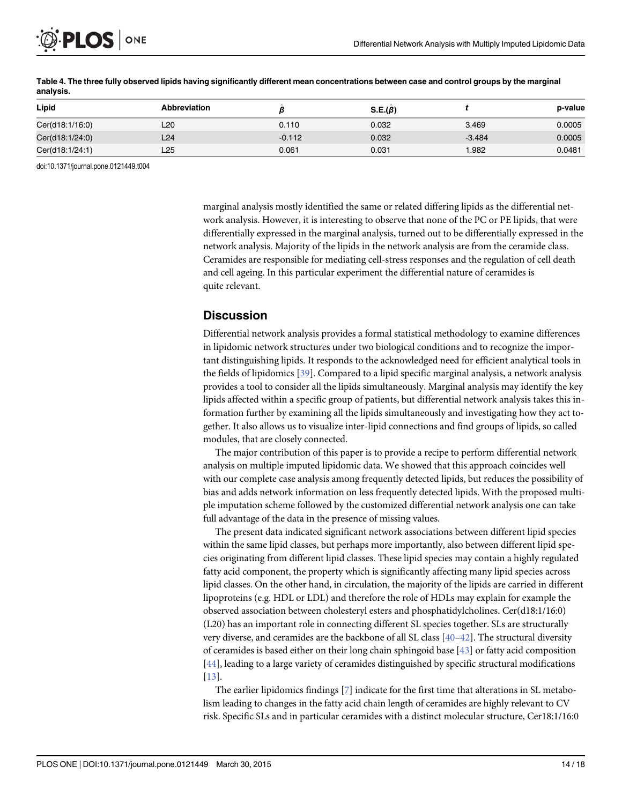<span id="page-14-0"></span>

| Lipid           | Abbreviation |          | $S.E.(\beta)$ |          | p-value |
|-----------------|--------------|----------|---------------|----------|---------|
| Cer(d18:1/16:0) | L20          | 0.110    | 0.032         | 3.469    | 0.0005  |
| Cer(d18:1/24:0) | L24          | $-0.112$ | 0.032         | $-3.484$ | 0.0005  |
| Cer(d18:1/24:1) | L25          | 0.061    | 0.031         | 1.982    | 0.0481  |

[Table 4. T](#page-13-0)he three fully observed lipids having significantly different mean concentrations between case and control groups by the marginal analysis.

doi:10.1371/journal.pone.0121449.t004

marginal analysis mostly identified the same or related differing lipids as the differential network analysis. However, it is interesting to observe that none of the PC or PE lipids, that were differentially expressed in the marginal analysis, turned out to be differentially expressed in the network analysis. Majority of the lipids in the network analysis are from the ceramide class. Ceramides are responsible for mediating cell-stress responses and the regulation of cell death and cell ageing. In this particular experiment the differential nature of ceramides is quite relevant.

## **Discussion**

Differential network analysis provides a formal statistical methodology to examine differences in lipidomic network structures under two biological conditions and to recognize the important distinguishing lipids. It responds to the acknowledged need for efficient analytical tools in the fields of lipidomics [\[39](#page-18-0)]. Compared to a lipid specific marginal analysis, a network analysis provides a tool to consider all the lipids simultaneously. Marginal analysis may identify the key lipids affected within a specific group of patients, but differential network analysis takes this information further by examining all the lipids simultaneously and investigating how they act together. It also allows us to visualize inter-lipid connections and find groups of lipids, so called modules, that are closely connected.

The major contribution of this paper is to provide a recipe to perform differential network analysis on multiple imputed lipidomic data. We showed that this approach coincides well with our complete case analysis among frequently detected lipids, but reduces the possibility of bias and adds network information on less frequently detected lipids. With the proposed multiple imputation scheme followed by the customized differential network analysis one can take full advantage of the data in the presence of missing values.

The present data indicated significant network associations between different lipid species within the same lipid classes, but perhaps more importantly, also between different lipid species originating from different lipid classes. These lipid species may contain a highly regulated fatty acid component, the property which is significantly affecting many lipid species across lipid classes. On the other hand, in circulation, the majority of the lipids are carried in different lipoproteins (e.g. HDL or LDL) and therefore the role of HDLs may explain for example the observed association between cholesteryl esters and phosphatidylcholines. Cer(d18:1/16:0) (L20) has an important role in connecting different SL species together. SLs are structurally very diverse, and ceramides are the backbone of all SL class  $[40-42]$  $[40-42]$  $[40-42]$ . The structural diversity of ceramides is based either on their long chain sphingoid base [[43](#page-18-0)] or fatty acid composition [\[44](#page-18-0)], leading to a large variety of ceramides distinguished by specific structural modifications [\[13](#page-16-0)].

The earlier lipidomics findings  $[7]$  indicate for the first time that alterations in SL metabolism leading to changes in the fatty acid chain length of ceramides are highly relevant to CV risk. Specific SLs and in particular ceramides with a distinct molecular structure, Cer18:1/16:0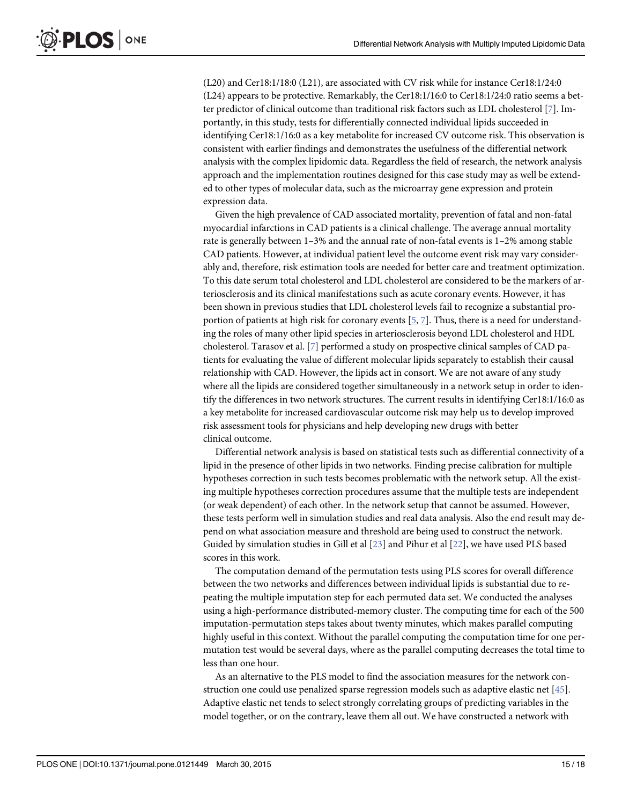<span id="page-15-0"></span>(L20) and Cer18:1/18:0 (L21), are associated with CV risk while for instance Cer18:1/24:0 (L24) appears to be protective. Remarkably, the Cer18:1/16:0 to Cer18:1/24:0 ratio seems a better predictor of clinical outcome than traditional risk factors such as LDL cholesterol [[7](#page-16-0)]. Importantly, in this study, tests for differentially connected individual lipids succeeded in identifying Cer18:1/16:0 as a key metabolite for increased CV outcome risk. This observation is consistent with earlier findings and demonstrates the usefulness of the differential network analysis with the complex lipidomic data. Regardless the field of research, the network analysis approach and the implementation routines designed for this case study may as well be extended to other types of molecular data, such as the microarray gene expression and protein expression data.

Given the high prevalence of CAD associated mortality, prevention of fatal and non-fatal myocardial infarctions in CAD patients is a clinical challenge. The average annual mortality rate is generally between 1–3% and the annual rate of non-fatal events is 1–2% among stable CAD patients. However, at individual patient level the outcome event risk may vary considerably and, therefore, risk estimation tools are needed for better care and treatment optimization. To this date serum total cholesterol and LDL cholesterol are considered to be the markers of arteriosclerosis and its clinical manifestations such as acute coronary events. However, it has been shown in previous studies that LDL cholesterol levels fail to recognize a substantial proportion of patients at high risk for coronary events  $[5, 7]$  $[5, 7]$  $[5, 7]$  $[5, 7]$ . Thus, there is a need for understanding the roles of many other lipid species in arteriosclerosis beyond LDL cholesterol and HDL cholesterol. Tarasov et al. [[7](#page-16-0)] performed a study on prospective clinical samples of CAD patients for evaluating the value of different molecular lipids separately to establish their causal relationship with CAD. However, the lipids act in consort. We are not aware of any study where all the lipids are considered together simultaneously in a network setup in order to identify the differences in two network structures. The current results in identifying Cer18:1/16:0 as a key metabolite for increased cardiovascular outcome risk may help us to develop improved risk assessment tools for physicians and help developing new drugs with better clinical outcome.

Differential network analysis is based on statistical tests such as differential connectivity of a lipid in the presence of other lipids in two networks. Finding precise calibration for multiple hypotheses correction in such tests becomes problematic with the network setup. All the existing multiple hypotheses correction procedures assume that the multiple tests are independent (or weak dependent) of each other. In the network setup that cannot be assumed. However, these tests perform well in simulation studies and real data analysis. Also the end result may depend on what association measure and threshold are being used to construct the network. Guided by simulation studies in Gill et al [\[23\]](#page-17-0) and Pihur et al [[22\]](#page-17-0), we have used PLS based scores in this work.

The computation demand of the permutation tests using PLS scores for overall difference between the two networks and differences between individual lipids is substantial due to repeating the multiple imputation step for each permuted data set. We conducted the analyses using a high-performance distributed-memory cluster. The computing time for each of the 500 imputation-permutation steps takes about twenty minutes, which makes parallel computing highly useful in this context. Without the parallel computing the computation time for one permutation test would be several days, where as the parallel computing decreases the total time to less than one hour.

As an alternative to the PLS model to find the association measures for the network construction one could use penalized sparse regression models such as adaptive elastic net [\[45\]](#page-18-0). Adaptive elastic net tends to select strongly correlating groups of predicting variables in the model together, or on the contrary, leave them all out. We have constructed a network with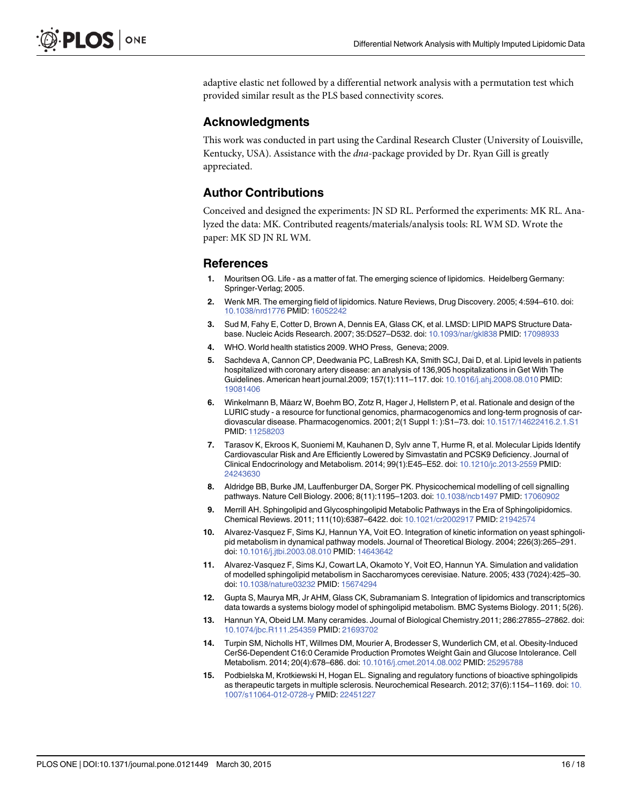<span id="page-16-0"></span>adaptive elastic net followed by a differential network analysis with a permutation test which provided similar result as the PLS based connectivity scores.

## Acknowledgments

This work was conducted in part using the Cardinal Research Cluster (University of Louisville, Kentucky, USA). Assistance with the *dna*-package provided by Dr. Ryan Gill is greatly appreciated.

## Author Contributions

Conceived and designed the experiments: JN SD RL. Performed the experiments: MK RL. Analyzed the data: MK. Contributed reagents/materials/analysis tools: RL WM SD. Wrote the paper: MK SD JN RL WM.

## References

- [1.](#page-2-0) Mouritsen OG. Life as a matter of fat. The emerging science of lipidomics. Heidelberg Germany: Springer-Verlag; 2005.
- [2.](#page-2-0) Wenk MR. The emerging field of lipidomics. Nature Reviews, Drug Discovery. 2005; 4:594–610. doi: [10.1038/nrd1776](http://dx.doi.org/10.1038/nrd1776) PMID: [16052242](http://www.ncbi.nlm.nih.gov/pubmed/16052242)
- [3.](#page-2-0) Sud M, Fahy E, Cotter D, Brown A, Dennis EA, Glass CK, et al. LMSD: LIPID MAPS Structure Database. Nucleic Acids Research. 2007; 35:D527–D532. doi: [10.1093/nar/gkl838](http://dx.doi.org/10.1093/nar/gkl838) PMID: [17098933](http://www.ncbi.nlm.nih.gov/pubmed/17098933)
- [4.](#page-2-0) WHO. World health statistics 2009. WHO Press, Geneva; 2009.
- [5.](#page-2-0) Sachdeva A, Cannon CP, Deedwania PC, LaBresh KA, Smith SCJ, Dai D, et al. Lipid levels in patients hospitalized with coronary artery disease: an analysis of 136,905 hospitalizations in Get With The Guidelines. American heart journal.2009; 157(1):111–117. doi: [10.1016/j.ahj.2008.08.010](http://dx.doi.org/10.1016/j.ahj.2008.08.010) PMID: [19081406](http://www.ncbi.nlm.nih.gov/pubmed/19081406)
- [6.](#page-2-0) Winkelmann B, Mäarz W, Boehm BO, Zotz R, Hager J, Hellstern P, et al. Rationale and design of the LURIC study - a resource for functional genomics, pharmacogenomics and long-term prognosis of cardiovascular disease. Pharmacogenomics. 2001; 2(1 Suppl 1: ):S1–73. doi: [10.1517/14622416.2.1.S1](http://dx.doi.org/10.1517/14622416.2.1.S1) PMID: [11258203](http://www.ncbi.nlm.nih.gov/pubmed/11258203)
- [7.](#page-2-0) Tarasov K, Ekroos K, Suoniemi M, Kauhanen D, Sylv anne T, Hurme R, et al. Molecular Lipids Identify Cardiovascular Risk and Are Efficiently Lowered by Simvastatin and PCSK9 Deficiency. Journal of Clinical Endocrinology and Metabolism. 2014; 99(1):E45–E52. doi: [10.1210/jc.2013-2559](http://dx.doi.org/10.1210/jc.2013-2559) PMID: [24243630](http://www.ncbi.nlm.nih.gov/pubmed/24243630)
- [8.](#page-2-0) Aldridge BB, Burke JM, Lauffenburger DA, Sorger PK. Physicochemical modelling of cell signalling pathways. Nature Cell Biology. 2006; 8(11):1195–1203. doi: [10.1038/ncb1497](http://dx.doi.org/10.1038/ncb1497) PMID: [17060902](http://www.ncbi.nlm.nih.gov/pubmed/17060902)
- [9.](#page-2-0) Merrill AH. Sphingolipid and Glycosphingolipid Metabolic Pathways in the Era of Sphingolipidomics. Chemical Reviews. 2011; 111(10):6387–6422. doi: [10.1021/cr2002917](http://dx.doi.org/10.1021/cr2002917) PMID: [21942574](http://www.ncbi.nlm.nih.gov/pubmed/21942574)
- [10.](#page-2-0) Alvarez-Vasquez F, Sims KJ, Hannun YA, Voit EO. Integration of kinetic information on yeast sphingolipid metabolism in dynamical pathway models. Journal of Theoretical Biology. 2004; 226(3):265–291. doi: [10.1016/j.jtbi.2003.08.010](http://dx.doi.org/10.1016/j.jtbi.2003.08.010) PMID: [14643642](http://www.ncbi.nlm.nih.gov/pubmed/14643642)
- 11. Alvarez-Vasquez F, Sims KJ, Cowart LA, Okamoto Y, Voit EO, Hannun YA. Simulation and validation of modelled sphingolipid metabolism in Saccharomyces cerevisiae. Nature. 2005; 433 (7024):425–30. doi: [10.1038/nature03232](http://dx.doi.org/10.1038/nature03232) PMID: [15674294](http://www.ncbi.nlm.nih.gov/pubmed/15674294)
- [12.](#page-2-0) Gupta S, Maurya MR, Jr AHM, Glass CK, Subramaniam S. Integration of lipidomics and transcriptomics data towards a systems biology model of sphingolipid metabolism. BMC Systems Biology. 2011; 5(26).
- [13.](#page-2-0) Hannun YA, Obeid LM. Many ceramides. Journal of Biological Chemistry.2011; 286:27855–27862. doi: [10.1074/jbc.R111.254359](http://dx.doi.org/10.1074/jbc.R111.254359) PMID: [21693702](http://www.ncbi.nlm.nih.gov/pubmed/21693702)
- [14.](#page-2-0) Turpin SM, Nicholls HT, Willmes DM, Mourier A, Brodesser S, Wunderlich CM, et al. Obesity-Induced CerS6-Dependent C16:0 Ceramide Production Promotes Weight Gain and Glucose Intolerance. Cell Metabolism. 2014; 20(4):678–686. doi: [10.1016/j.cmet.2014.08.002](http://dx.doi.org/10.1016/j.cmet.2014.08.002) PMID: [25295788](http://www.ncbi.nlm.nih.gov/pubmed/25295788)
- [15.](#page-2-0) Podbielska M, Krotkiewski H, Hogan EL. Signaling and regulatory functions of bioactive sphingolipids as therapeutic targets in multiple sclerosis. Neurochemical Research. 2012; 37(6):1154–1169. doi: [10.](http://dx.doi.org/10.1007/s11064-012-0728-y) [1007/s11064-012-0728-y](http://dx.doi.org/10.1007/s11064-012-0728-y) PMID: [22451227](http://www.ncbi.nlm.nih.gov/pubmed/22451227)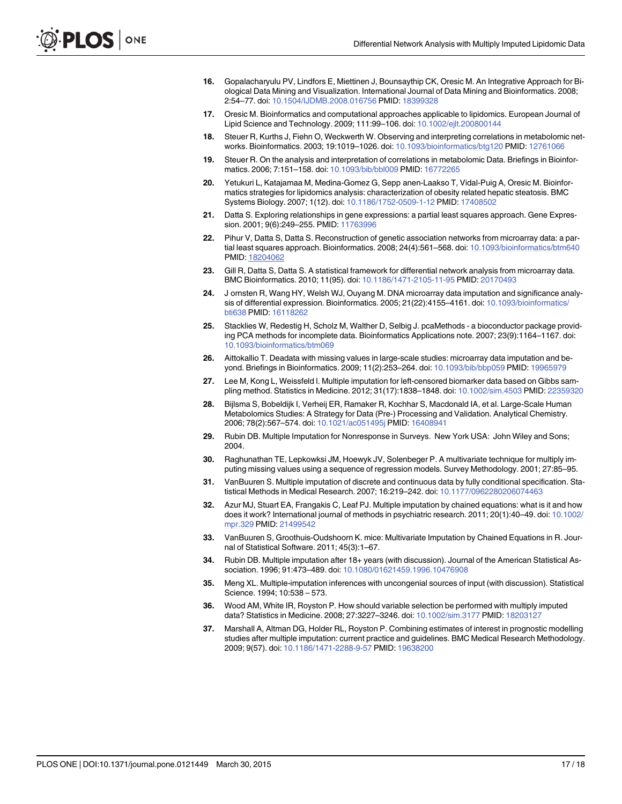- <span id="page-17-0"></span>[16.](#page-2-0) Gopalacharyulu PV, Lindfors E, Miettinen J, Bounsaythip CK, Oresic M. An Integrative Approach for Biological Data Mining and Visualization. International Journal of Data Mining and Bioinformatics. 2008; 2:54–77. doi: [10.1504/IJDMB.2008.016756](http://dx.doi.org/10.1504/IJDMB.2008.016756) PMID: [18399328](http://www.ncbi.nlm.nih.gov/pubmed/18399328)
- [17.](#page-2-0) Oresic M. Bioinformatics and computational approaches applicable to lipidomics. European Journal of Lipid Science and Technology. 2009; 111:99–106. doi: [10.1002/ejlt.200800144](http://dx.doi.org/10.1002/ejlt.200800144)
- [18.](#page-2-0) Steuer R, Kurths J, Fiehn O, Weckwerth W. Observing and interpreting correlations in metabolomic networks. Bioinformatics. 2003; 19:1019–1026. doi: [10.1093/bioinformatics/btg120](http://dx.doi.org/10.1093/bioinformatics/btg120) PMID: [12761066](http://www.ncbi.nlm.nih.gov/pubmed/12761066)
- [19.](#page-2-0) Steuer R. On the analysis and interpretation of correlations in metabolomic Data. Briefings in Bioinformatics. 2006; 7:151–158. doi: [10.1093/bib/bbl009](http://dx.doi.org/10.1093/bib/bbl009) PMID: [16772265](http://www.ncbi.nlm.nih.gov/pubmed/16772265)
- [20.](#page-3-0) Yetukuri L, Katajamaa M, Medina-Gomez G, Sepp anen-Laakso T, Vidal-Puig A, Oresic M. Bioinformatics strategies for lipidomics analysis: characterization of obesity related hepatic steatosis. BMC Systems Biology. 2007; 1(12). doi: [10.1186/1752-0509-1-12](http://dx.doi.org/10.1186/1752-0509-1-12) PMID: [17408502](http://www.ncbi.nlm.nih.gov/pubmed/17408502)
- [21.](#page-3-0) Datta S. Exploring relationships in gene expressions: a partial least squares approach. Gene Expression. 2001; 9(6):249–255. PMID: [11763996](http://www.ncbi.nlm.nih.gov/pubmed/11763996)
- [22.](#page-3-0) Pihur V, Datta S, Datta S. Reconstruction of genetic association networks from microarray data: a partial least squares approach. Bioinformatics. 2008; 24(4):561–568. doi: [10.1093/bioinformatics/btm640](http://dx.doi.org/10.1093/bioinformatics/btm640) PMID: [18204062](http://www.ncbi.nlm.nih.gov/pubmed/18204062)
- [23.](#page-3-0) Gill R, Datta S, Datta S. A statistical framework for differential network analysis from microarray data. BMC Bioinformatics. 2010; 11(95). doi: [10.1186/1471-2105-11-95](http://dx.doi.org/10.1186/1471-2105-11-95) PMID: [20170493](http://www.ncbi.nlm.nih.gov/pubmed/20170493)
- [24.](#page-5-0) Jornsten R, Wang HY, Welsh WJ, Ouyang M. DNA microarray data imputation and significance analysis of differential expression. Bioinformatics. 2005; 21(22):4155–4161. doi: [10.1093/bioinformatics/](http://dx.doi.org/10.1093/bioinformatics/bti638) [bti638](http://dx.doi.org/10.1093/bioinformatics/bti638) PMID: [16118262](http://www.ncbi.nlm.nih.gov/pubmed/16118262)
- 25. Stacklies W, Redestig H, Scholz M, Walther D, Selbig J. pcaMethods a bioconductor package providing PCA methods for incomplete data. Bioinformatics Applications note. 2007; 23(9):1164–1167. doi: [10.1093/bioinformatics/btm069](http://dx.doi.org/10.1093/bioinformatics/btm069)
- 26. Aittokallio T. Deadata with missing values in large-scale studies: microarray data imputation and be-yond. Briefings in Bioinformatics. 2009; 11(2):253-264. doi: [10.1093/bib/bbp059](http://dx.doi.org/10.1093/bib/bbp059) PMID: [19965979](http://www.ncbi.nlm.nih.gov/pubmed/19965979)
- 27. Lee M, Kong L, Weissfeld l. Multiple imputation for left-censored biomarker data based on Gibbs sampling method. Statistics in Medicine. 2012; 31(17):1838–1848. doi: [10.1002/sim.4503](http://dx.doi.org/10.1002/sim.4503) PMID: [22359320](http://www.ncbi.nlm.nih.gov/pubmed/22359320)
- [28.](#page-5-0) Bijlsma S, Bobeldijk I, Verheij ER, Ramaker R, Kochhar S, Macdonald IA, et al. Large-Scale Human Metabolomics Studies: A Strategy for Data (Pre-) Processing and Validation. Analytical Chemistry. 2006; 78(2):567–574. doi: [10.1021/ac051495j](http://dx.doi.org/10.1021/ac051495j) PMID: [16408941](http://www.ncbi.nlm.nih.gov/pubmed/16408941)
- [29.](#page-5-0) Rubin DB. Multiple Imputation for Nonresponse in Surveys. New York USA: John Wiley and Sons; 2004.
- [30.](#page-5-0) Raghunathan TE, Lepkowksi JM, Hoewyk JV, Solenbeger P. A multivariate technique for multiply imputing missing values using a sequence of regression models. Survey Methodology. 2001; 27:85–95.
- [31.](#page-5-0) VanBuuren S. Multiple imputation of discrete and continuous data by fully conditional specification. Statistical Methods in Medical Research. 2007; 16:219–242. doi: [10.1177/0962280206074463](http://dx.doi.org/10.1177/0962280206074463)
- [32.](#page-6-0) Azur MJ, Stuart EA, Frangakis C, Leaf PJ. Multiple imputation by chained equations: what is it and how does it work? International journal of methods in psychiatric research. 2011; 20(1):40-49. doi: [10.1002/](http://dx.doi.org/10.1002/mpr.329) [mpr.329](http://dx.doi.org/10.1002/mpr.329) PMID: [21499542](http://www.ncbi.nlm.nih.gov/pubmed/21499542)
- [33.](#page-6-0) VanBuuren S, Groothuis-Oudshoorn K. mice: Multivariate Imputation by Chained Equations in R. Journal of Statistical Software. 2011; 45(3):1–67.
- [34.](#page-6-0) Rubin DB. Multiple imputation after 18+ years (with discussion). Journal of the American Statistical Association. 1996; 91:473–489. doi: [10.1080/01621459.1996.10476908](http://dx.doi.org/10.1080/01621459.1996.10476908)
- [35.](#page-6-0) Meng XL. Multiple-imputation inferences with uncongenial sources of input (with discussion). Statistical Science. 1994; 10:538 – 573.
- [36.](#page-6-0) Wood AM, White IR, Royston P. How should variable selection be performed with multiply imputed data? Statistics in Medicine. 2008; 27:3227–3246. doi: [10.1002/sim.3177](http://dx.doi.org/10.1002/sim.3177) PMID: [18203127](http://www.ncbi.nlm.nih.gov/pubmed/18203127)
- [37.](#page-9-0) Marshall A, Altman DG, Holder RL, Royston P. Combining estimates of interest in prognostic modelling studies after multiple imputation: current practice and guidelines. BMC Medical Research Methodology. 2009; 9(57). doi: [10.1186/1471-2288-9-57](http://dx.doi.org/10.1186/1471-2288-9-57) PMID: [19638200](http://www.ncbi.nlm.nih.gov/pubmed/19638200)